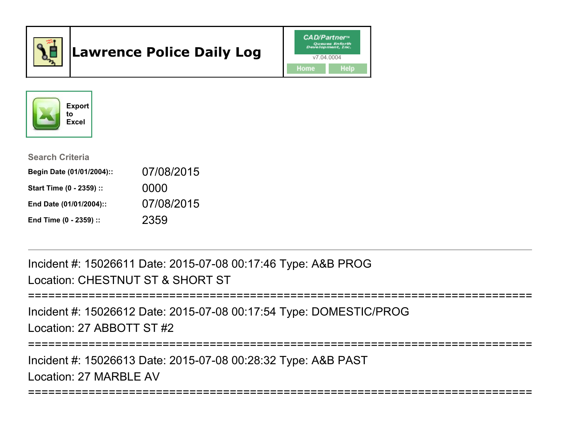

# Lawrence Police Daily Log





#### Search Criteria

| Begin Date (01/01/2004):: | 07/08/2015 |
|---------------------------|------------|
| Start Time (0 - 2359) ::  | 0000       |
| End Date (01/01/2004)::   | 07/08/2015 |
| End Time (0 - 2359) ::    | 2359       |

Incident #: 15026611 Date: 2015-07-08 00:17:46 Type: A&B PROGLocation: CHESTNUT ST & SHORT ST

```
===========================================================================
```
Incident #: 15026612 Date: 2015-07-08 00:17:54 Type: DOMESTIC/PROGLocation: 27 ABBOTT ST #2

===========================================================================

Incident #: 15026613 Date: 2015-07-08 00:28:32 Type: A&B PASTLocation: 27 MARBLE AV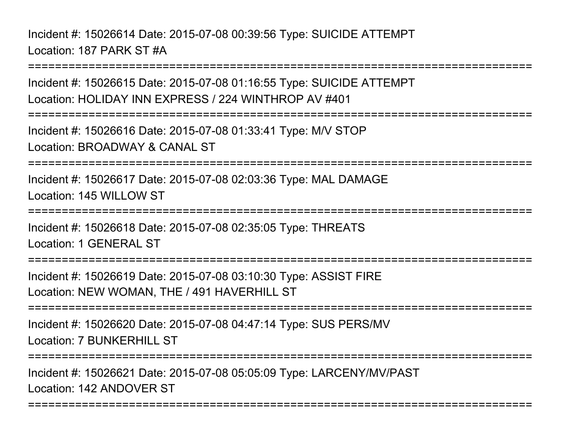Incident #: 15026614 Date: 2015-07-08 00:39:56 Type: SUICIDE ATTEMPTLocation: 187 PARK ST #A

===========================================================================Incident #: 15026615 Date: 2015-07-08 01:16:55 Type: SUICIDE ATTEMPTLocation: HOLIDAY INN EXPRESS / 224 WINTHROP AV #401===========================================================================Incident #: 15026616 Date: 2015-07-08 01:33:41 Type: M/V STOPLocation: BROADWAY & CANAL ST===========================================================================Incident #: 15026617 Date: 2015-07-08 02:03:36 Type: MAL DAMAGELocation: 145 WILLOW ST=============== Incident #: 15026618 Date: 2015-07-08 02:35:05 Type: THREATSLocation: 1 GENERAL ST===========================================================================Incident #: 15026619 Date: 2015-07-08 03:10:30 Type: ASSIST FIRELocation: NEW WOMAN, THE / 491 HAVERHILL ST===========================================================================Incident #: 15026620 Date: 2015-07-08 04:47:14 Type: SUS PERS/MVLocation: 7 BUNKERHILL ST===========================================================================

===========================================================================

Incident #: 15026621 Date: 2015-07-08 05:05:09 Type: LARCENY/MV/PASTLocation: 142 ANDOVER ST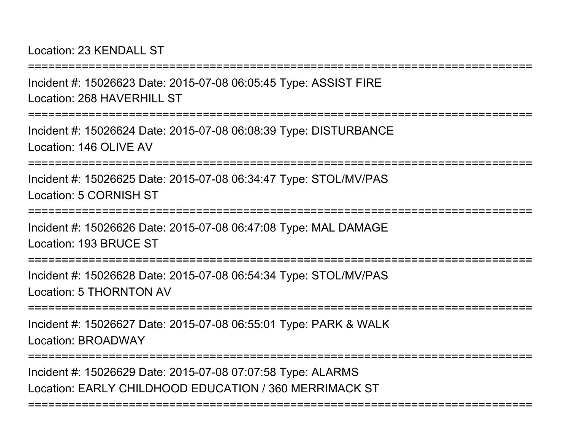Location: 23 KENDALL ST

===========================================================================Incident #: 15026623 Date: 2015-07-08 06:05:45 Type: ASSIST FIRELocation: 268 HAVERHILL ST ===========================================================================Incident #: 15026624 Date: 2015-07-08 06:08:39 Type: DISTURBANCELocation: 146 OLIVE AV ===========================================================================Incident #: 15026625 Date: 2015-07-08 06:34:47 Type: STOL/MV/PASLocation: 5 CORNISH ST=============== Incident #: 15026626 Date: 2015-07-08 06:47:08 Type: MAL DAMAGELocation: 193 BRUCE ST===========================================================================Incident #: 15026628 Date: 2015-07-08 06:54:34 Type: STOL/MV/PASLocation: 5 THORNTON AV===========================================================================Incident #: 15026627 Date: 2015-07-08 06:55:01 Type: PARK & WALKLocation: BROADWAY===========================================================================

===========================================================================

Incident #: 15026629 Date: 2015-07-08 07:07:58 Type: ALARMSLocation: EARLY CHILDHOOD EDUCATION / 360 MERRIMACK ST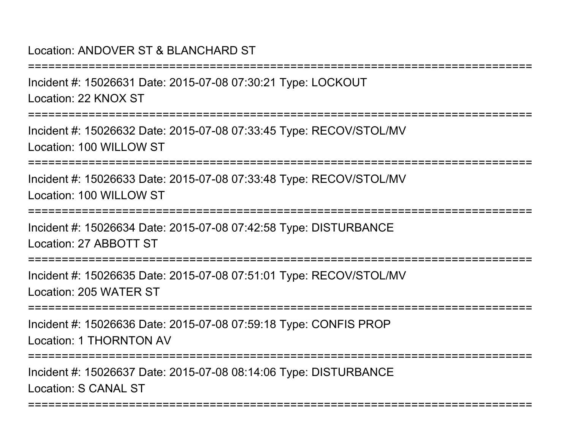## Location: ANDOVER ST & BLANCHARD ST

===========================================================================Incident #: 15026631 Date: 2015-07-08 07:30:21 Type: LOCKOUTLocation: 22 KNOX ST===========================================================================Incident #: 15026632 Date: 2015-07-08 07:33:45 Type: RECOV/STOL/MVLocation: 100 WILLOW ST===========================================================================Incident #: 15026633 Date: 2015-07-08 07:33:48 Type: RECOV/STOL/MVLocation: 100 WILLOW ST===========================================================================Incident #: 15026634 Date: 2015-07-08 07:42:58 Type: DISTURBANCELocation: 27 ABBOTT ST===========================================================================Incident #: 15026635 Date: 2015-07-08 07:51:01 Type: RECOV/STOL/MVLocation: 205 WATER ST**==================** Incident #: 15026636 Date: 2015-07-08 07:59:18 Type: CONFIS PROPLocation: 1 THORNTON AV===========================================================================Incident #: 15026637 Date: 2015-07-08 08:14:06 Type: DISTURBANCELocation: S CANAL ST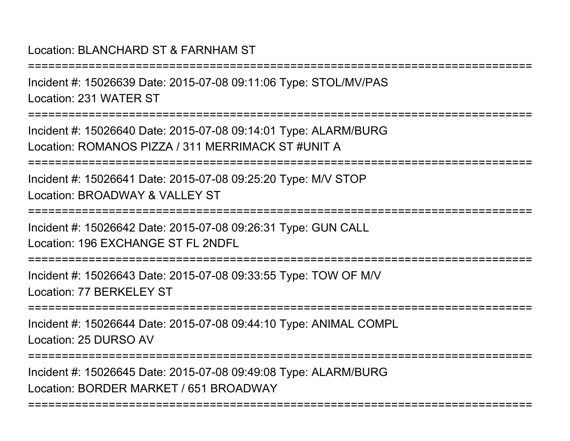# Location: BLANCHARD ST & FARNHAM ST

===========================================================================Incident #: 15026639 Date: 2015-07-08 09:11:06 Type: STOL/MV/PASLocation: 231 WATER ST===========================================================================Incident #: 15026640 Date: 2015-07-08 09:14:01 Type: ALARM/BURGLocation: ROMANOS PIZZA / 311 MERRIMACK ST #UNIT A===========================================================================Incident #: 15026641 Date: 2015-07-08 09:25:20 Type: M/V STOPLocation: BROADWAY & VALLEY ST===========================================================================Incident #: 15026642 Date: 2015-07-08 09:26:31 Type: GUN CALLLocation: 196 EXCHANGE ST FL 2NDFL===========================================================================Incident #: 15026643 Date: 2015-07-08 09:33:55 Type: TOW OF M/VLocation: 77 BERKELEY ST **=================** Incident #: 15026644 Date: 2015-07-08 09:44:10 Type: ANIMAL COMPLLocation: 25 DURSO AV===========================================================================

===========================================================================

Incident #: 15026645 Date: 2015-07-08 09:49:08 Type: ALARM/BURGLocation: BORDER MARKET / 651 BROADWAY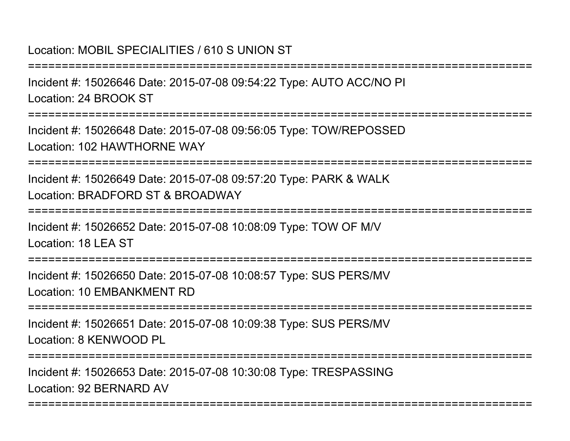## Location: MOBIL SPECIALITIES / 610 S UNION ST

===========================================================================Incident #: 15026646 Date: 2015-07-08 09:54:22 Type: AUTO ACC/NO PILocation: 24 BROOK ST===========================================================================Incident #: 15026648 Date: 2015-07-08 09:56:05 Type: TOW/REPOSSEDLocation: 102 HAWTHORNE WAY===========================================================================Incident #: 15026649 Date: 2015-07-08 09:57:20 Type: PARK & WALKLocation: BRADFORD ST & BROADWAY ===========================================================================Incident #: 15026652 Date: 2015-07-08 10:08:09 Type: TOW OF M/VLocation: 18 LEA ST ===========================================================================Incident #: 15026650 Date: 2015-07-08 10:08:57 Type: SUS PERS/MVLocation: 10 EMBANKMENT RD===========================================================================Incident #: 15026651 Date: 2015-07-08 10:09:38 Type: SUS PERS/MVLocation: 8 KENWOOD PL===========================================================================

===========================================================================

Incident #: 15026653 Date: 2015-07-08 10:30:08 Type: TRESPASSINGLocation: 92 BERNARD AV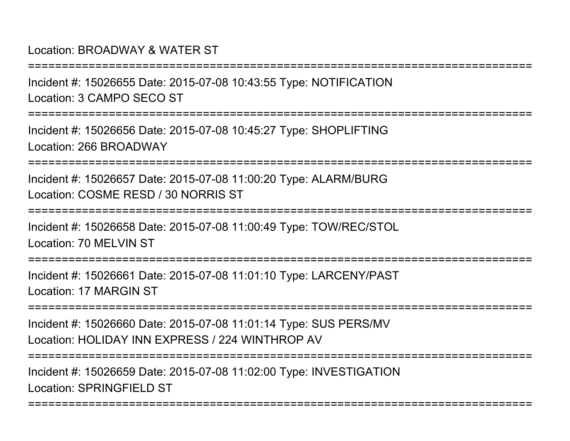## Location: BROADWAY & WATER ST

Incident #: 15026655 Date: 2015-07-08 10:43:55 Type: NOTIFICATIONLocation: 3 CAMPO SECO ST

===========================================================================

===========================================================================

Incident #: 15026656 Date: 2015-07-08 10:45:27 Type: SHOPLIFTINGLocation: 266 BROADWAY

===========================================================================

Incident #: 15026657 Date: 2015-07-08 11:00:20 Type: ALARM/BURGLocation: COSME RESD / 30 NORRIS ST

===========================================================================

Incident #: 15026658 Date: 2015-07-08 11:00:49 Type: TOW/REC/STOLLocation: 70 MELVIN ST

===========================================================================

Incident #: 15026661 Date: 2015-07-08 11:01:10 Type: LARCENY/PASTLocation: 17 MARGIN ST

===========================================================================

Incident #: 15026660 Date: 2015-07-08 11:01:14 Type: SUS PERS/MVLocation: HOLIDAY INN EXPRESS / 224 WINTHROP AV

===========================================================================

===========================================================================

Incident #: 15026659 Date: 2015-07-08 11:02:00 Type: INVESTIGATIONLocation: SPRINGFIFLD ST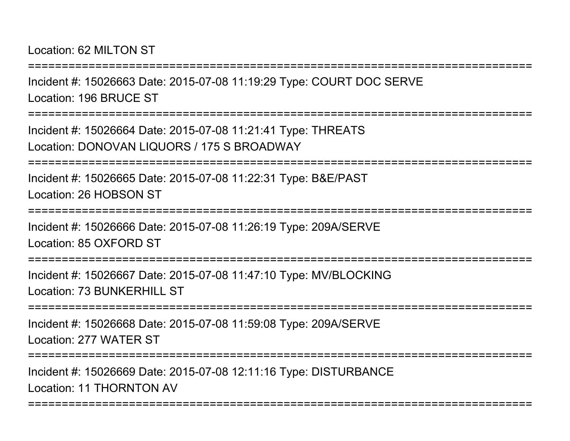Location: 62 MILTON ST

===========================================================================Incident #: 15026663 Date: 2015-07-08 11:19:29 Type: COURT DOC SERVELocation: 196 BRUCE ST===========================================================================Incident #: 15026664 Date: 2015-07-08 11:21:41 Type: THREATSLocation: DONOVAN LIQUORS / 175 S BROADWAY===========================================================================Incident #: 15026665 Date: 2015-07-08 11:22:31 Type: B&E/PASTLocation: 26 HOBSON ST===========================================================================Incident #: 15026666 Date: 2015-07-08 11:26:19 Type: 209A/SERVELocation: 85 OXFORD ST===========================================================================Incident #: 15026667 Date: 2015-07-08 11:47:10 Type: MV/BLOCKINGLocation: 73 BUNKERHILL ST===========================================================================Incident #: 15026668 Date: 2015-07-08 11:59:08 Type: 209A/SERVELocation: 277 WATER ST===========================================================================Incident #: 15026669 Date: 2015-07-08 12:11:16 Type: DISTURBANCELocation: 11 THORNTON AV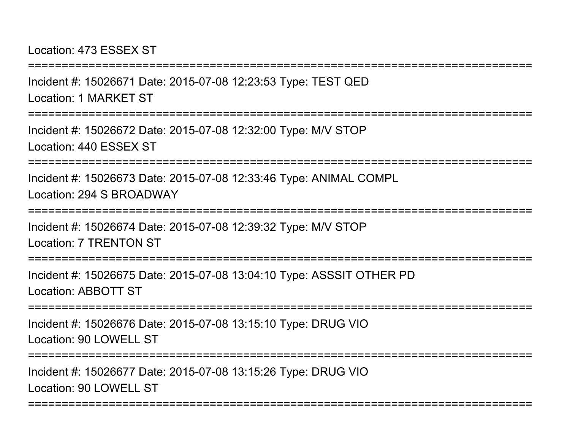Location: 473 ESSEX ST

Incident #: 15026671 Date: 2015-07-08 12:23:53 Type: TEST QEDLocation: 1 MARKET ST

===========================================================================

===========================================================================

Incident #: 15026672 Date: 2015-07-08 12:32:00 Type: M/V STOPLocation: 440 ESSEX ST

===========================================================================

Incident #: 15026673 Date: 2015-07-08 12:33:46 Type: ANIMAL COMPLLocation: 294 S BROADWAY

================

Incident #: 15026674 Date: 2015-07-08 12:39:32 Type: M/V STOPLocation: 7 TRENTON ST

===========================================================================

Incident #: 15026675 Date: 2015-07-08 13:04:10 Type: ASSSIT OTHER PDLocation: ABBOTT ST

===========================================================================

Incident #: 15026676 Date: 2015-07-08 13:15:10 Type: DRUG VIOLocation: 90 LOWELL ST

===========================================================================

===========================================================================

Incident #: 15026677 Date: 2015-07-08 13:15:26 Type: DRUG VIOLocation: 90 LOWELL ST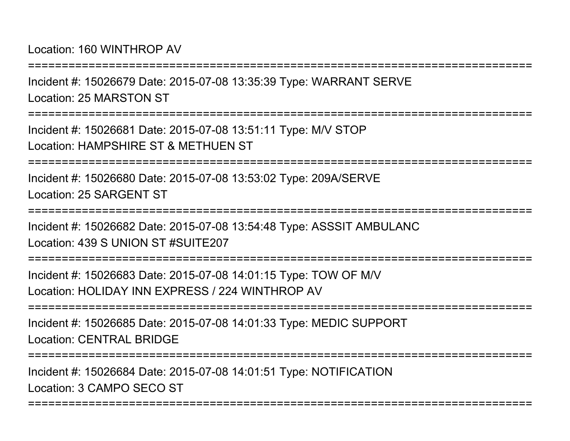Location: 160 WINTHROP AV

===========================================================================Incident #: 15026679 Date: 2015-07-08 13:35:39 Type: WARRANT SERVELocation: 25 MARSTON ST===========================================================================Incident #: 15026681 Date: 2015-07-08 13:51:11 Type: M/V STOPLocation: HAMPSHIRE ST & MFTHUFN ST ===========================================================================Incident #: 15026680 Date: 2015-07-08 13:53:02 Type: 209A/SERVELocation: 25 SARGENT ST===========================================================================Incident #: 15026682 Date: 2015-07-08 13:54:48 Type: ASSSIT AMBULANCLocation: 439 S UNION ST #SUITE207

Incident #: 15026683 Date: 2015-07-08 14:01:15 Type: TOW OF M/VLocation: HOLIDAY INN EXPRESS / 224 WINTHROP AV

===========================================================================

===========================================================================

Incident #: 15026685 Date: 2015-07-08 14:01:33 Type: MEDIC SUPPORTLocation: CENTRAL BRIDGE

===========================================================================

===========================================================================

Incident #: 15026684 Date: 2015-07-08 14:01:51 Type: NOTIFICATIONLocation: 3 CAMPO SECO ST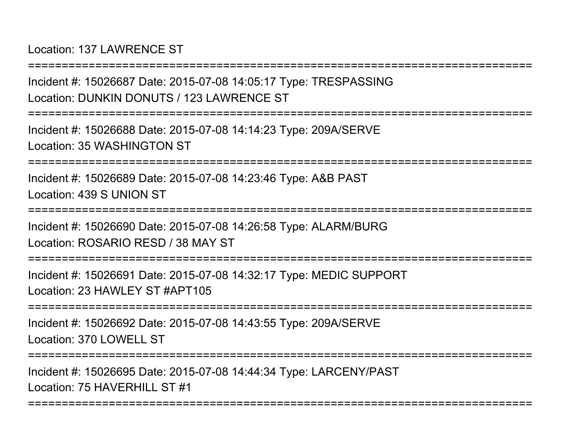Location: 137 LAWRENCE ST

Incident #: 15026687 Date: 2015-07-08 14:05:17 Type: TRESPASSINGLocation: DUNKIN DONUTS / 123 LAWRENCE ST

===========================================================================

===========================================================================

Incident #: 15026688 Date: 2015-07-08 14:14:23 Type: 209A/SERVELocation: 35 WASHINGTON ST

===========================================================================

Incident #: 15026689 Date: 2015-07-08 14:23:46 Type: A&B PASTLocation: 439 S UNION ST

===========================================================================

Incident #: 15026690 Date: 2015-07-08 14:26:58 Type: ALARM/BURGLocation: ROSARIO RESD / 38 MAY ST

===========================================================================

Incident #: 15026691 Date: 2015-07-08 14:32:17 Type: MEDIC SUPPORTLocation: 23 HAWLEY ST #APT105

===========================================================================

Incident #: 15026692 Date: 2015-07-08 14:43:55 Type: 209A/SERVELocation: 370 LOWELL ST

===========================================================================

===========================================================================

Incident #: 15026695 Date: 2015-07-08 14:44:34 Type: LARCENY/PASTLocation: 75 HAVERHILL ST #1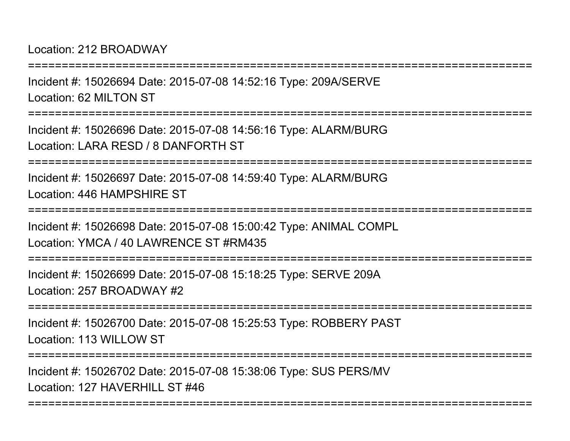Location: 212 BROADWAY

Incident #: 15026694 Date: 2015-07-08 14:52:16 Type: 209A/SERVELocation: 62 MILTON ST

===========================================================================

===========================================================================

Incident #: 15026696 Date: 2015-07-08 14:56:16 Type: ALARM/BURGLocation: LARA RESD / 8 DANFORTH ST

===========================================================================

Incident #: 15026697 Date: 2015-07-08 14:59:40 Type: ALARM/BURGLocation: 446 HAMPSHIRE ST

===========================================================================

Incident #: 15026698 Date: 2015-07-08 15:00:42 Type: ANIMAL COMPLLocation: YMCA / 40 LAWRENCE ST #RM435

===========================================================================

Incident #: 15026699 Date: 2015-07-08 15:18:25 Type: SERVE 209ALocation: 257 BROADWAY #2

**==============** 

Incident #: 15026700 Date: 2015-07-08 15:25:53 Type: ROBBERY PASTLocation: 113 WILLOW ST

===========================================================================

===========================================================================

Incident #: 15026702 Date: 2015-07-08 15:38:06 Type: SUS PERS/MVLocation: 127 HAVERHILL ST #46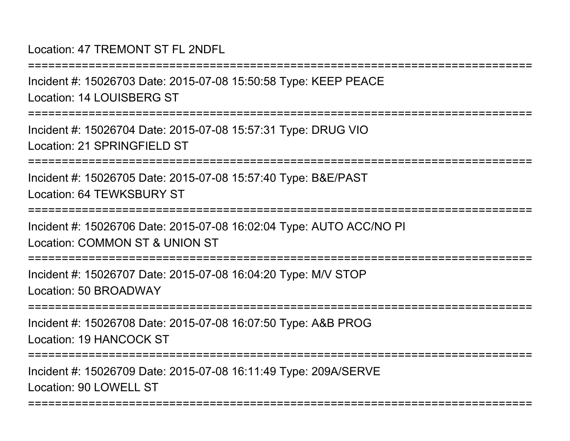#### Location: 47 TREMONT ST FL 2NDFL

===========================================================================Incident #: 15026703 Date: 2015-07-08 15:50:58 Type: KEEP PEACELocation: 14 LOUISBERG ST ===========================================================================Incident #: 15026704 Date: 2015-07-08 15:57:31 Type: DRUG VIOLocation: 21 SPRINGFIFLD ST ===========================================================================Incident #: 15026705 Date: 2015-07-08 15:57:40 Type: B&E/PASTLocation: 64 TEWKSBURY ST===========================================================================Incident #: 15026706 Date: 2015-07-08 16:02:04 Type: AUTO ACC/NO PILocation: COMMON ST & UNION ST=============== Incident #: 15026707 Date: 2015-07-08 16:04:20 Type: M/V STOPLocation: 50 BROADWAY===========================================================================Incident #: 15026708 Date: 2015-07-08 16:07:50 Type: A&B PROGLocation: 19 HANCOCK ST===========================================================================Incident #: 15026709 Date: 2015-07-08 16:11:49 Type: 209A/SERVELocation: 90 LOWELL ST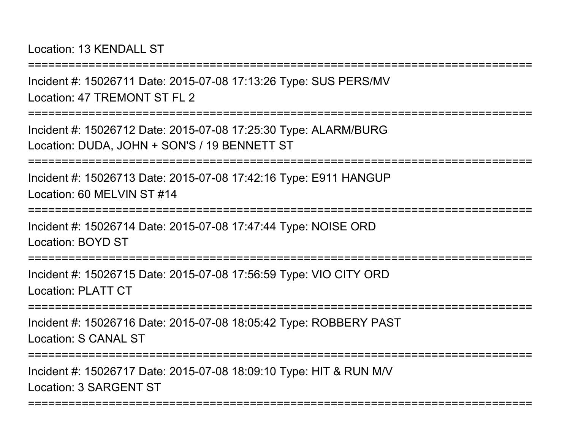Location: 13 KENDALL ST

===========================================================================

Incident #: 15026711 Date: 2015-07-08 17:13:26 Type: SUS PERS/MVLocation: 47 TREMONT ST FL 2

===========================================================================

Incident #: 15026712 Date: 2015-07-08 17:25:30 Type: ALARM/BURGLocation: DUDA, JOHN + SON'S / 19 BENNETT ST

===========================================================================

Incident #: 15026713 Date: 2015-07-08 17:42:16 Type: E911 HANGUPLocation: 60 MELVIN ST #14

===========================================================================

Incident #: 15026714 Date: 2015-07-08 17:47:44 Type: NOISE ORDLocation: BOYD ST

================

Incident #: 15026715 Date: 2015-07-08 17:56:59 Type: VIO CITY ORDLocation: PLATT CT

**================** 

Incident #: 15026716 Date: 2015-07-08 18:05:42 Type: ROBBERY PASTLocation: S CANAL ST

===========================================================================

===========================================================================

Incident #: 15026717 Date: 2015-07-08 18:09:10 Type: HIT & RUN M/VLocation: 3 SARGENT ST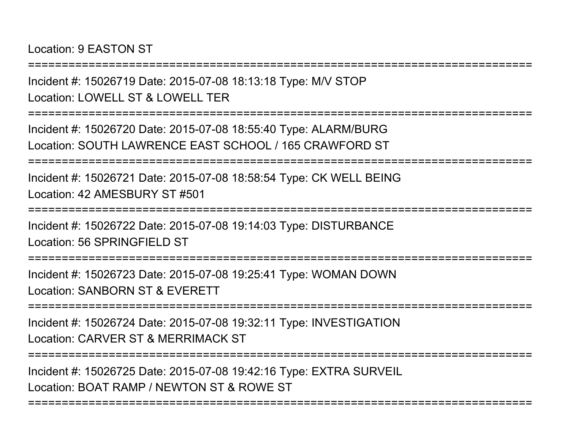Location: 9 EASTON ST

===========================================================================

Incident #: 15026719 Date: 2015-07-08 18:13:18 Type: M/V STOP

Location: LOWELL ST & LOWELL TER

===========================================================================

Incident #: 15026720 Date: 2015-07-08 18:55:40 Type: ALARM/BURGLocation: SOUTH LAWRENCE EAST SCHOOL / 165 CRAWFORD ST

===========================================================================

Incident #: 15026721 Date: 2015-07-08 18:58:54 Type: CK WELL BEINGLocation: 42 AMESBURY ST #501

**=================** 

Incident #: 15026722 Date: 2015-07-08 19:14:03 Type: DISTURBANCELocation: 56 SPRINGFIFLD ST

===========================================================================

Incident #: 15026723 Date: 2015-07-08 19:25:41 Type: WOMAN DOWNLocation: SANBORN ST & EVERETT

===========================================================================

Incident #: 15026724 Date: 2015-07-08 19:32:11 Type: INVESTIGATIONLocation: CARVER ST & MERRIMACK ST

===========================================================================

===========================================================================

Incident #: 15026725 Date: 2015-07-08 19:42:16 Type: EXTRA SURVEILLocation: BOAT RAMP / NEWTON ST & ROWE ST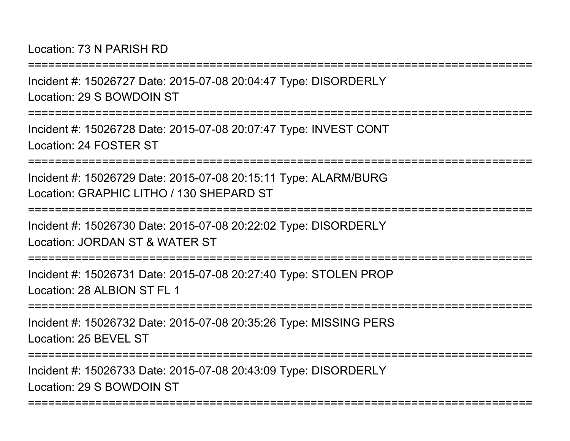Location: 73 N PARISH RD

===========================================================================

Incident #: 15026727 Date: 2015-07-08 20:04:47 Type: DISORDERLYLocation: 29 S BOWDOIN ST

===========================================================================

Incident #: 15026728 Date: 2015-07-08 20:07:47 Type: INVEST CONTLocation: 24 FOSTER ST

===========================================================================

Incident #: 15026729 Date: 2015-07-08 20:15:11 Type: ALARM/BURGLocation: GRAPHIC LITHO / 130 SHEPARD ST

===========================================================================

Incident #: 15026730 Date: 2015-07-08 20:22:02 Type: DISORDERLYLocation: JORDAN ST & WATER ST

===========================================================================

Incident #: 15026731 Date: 2015-07-08 20:27:40 Type: STOLEN PROPLocation: 28 ALBION ST FL 1

===========================================================================

Incident #: 15026732 Date: 2015-07-08 20:35:26 Type: MISSING PERSLocation: 25 BEVEL ST

===========================================================================

===========================================================================

Incident #: 15026733 Date: 2015-07-08 20:43:09 Type: DISORDERLYLocation: 29 S BOWDOIN ST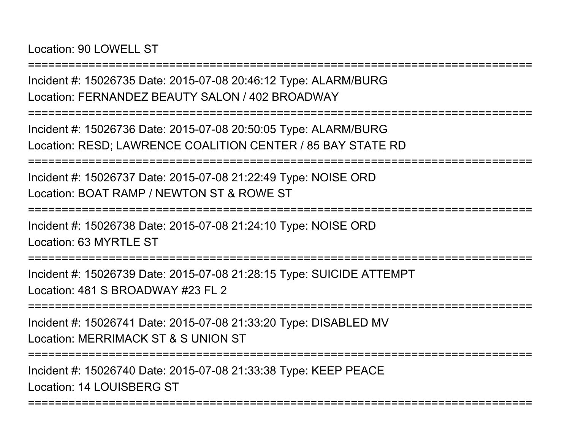Location: 90 LOWELL ST

Incident #: 15026735 Date: 2015-07-08 20:46:12 Type: ALARM/BURGLocation: FERNANDEZ BEAUTY SALON / 402 BROADWAY

===========================================================================

===========================================================================

Incident #: 15026736 Date: 2015-07-08 20:50:05 Type: ALARM/BURGLocation: RESD; LAWRENCE COALITION CENTER / 85 BAY STATE RD

===========================================================================

Incident #: 15026737 Date: 2015-07-08 21:22:49 Type: NOISE ORDLocation: BOAT RAMP / NEWTON ST & ROWE ST

===========================================================================

Incident #: 15026738 Date: 2015-07-08 21:24:10 Type: NOISE ORDLocation: 63 MYRTLE ST

===========================================================================

Incident #: 15026739 Date: 2015-07-08 21:28:15 Type: SUICIDE ATTEMPTLocation: 481 S BROADWAY #23 FL 2

===========================================================================

Incident #: 15026741 Date: 2015-07-08 21:33:20 Type: DISABLED MVLocation: MERRIMACK ST & S UNION ST

===========================================================================

===========================================================================

Incident #: 15026740 Date: 2015-07-08 21:33:38 Type: KEEP PEACELocation: 14 LOUISBERG ST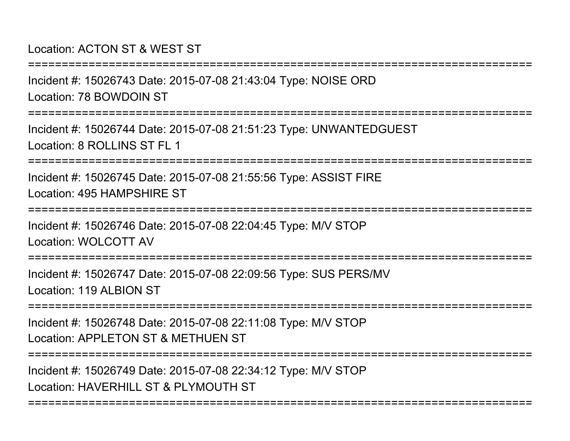#### Location: ACTON ST & WEST ST

Incident #: 15026743 Date: 2015-07-08 21:43:04 Type: NOISE ORDLocation: 78 BOWDOIN ST

===========================================================================

===========================================================================

Incident #: 15026744 Date: 2015-07-08 21:51:23 Type: UNWANTEDGUESTLocation: 8 ROLLINS ST FL 1

===========================================================================

Incident #: 15026745 Date: 2015-07-08 21:55:56 Type: ASSIST FIRELocation: 495 HAMPSHIRE ST

===========================================================================

Incident #: 15026746 Date: 2015-07-08 22:04:45 Type: M/V STOPLocation: WOLCOTT AV

===================

Incident #: 15026747 Date: 2015-07-08 22:09:56 Type: SUS PERS/MVLocation: 119 ALBION ST

===========================================================================

Incident #: 15026748 Date: 2015-07-08 22:11:08 Type: M/V STOPLocation: APPLETON ST & METHUEN ST

===========================================================================

===========================================================================

Incident #: 15026749 Date: 2015-07-08 22:34:12 Type: M/V STOPLocation: HAVERHILL ST & PLYMOUTH ST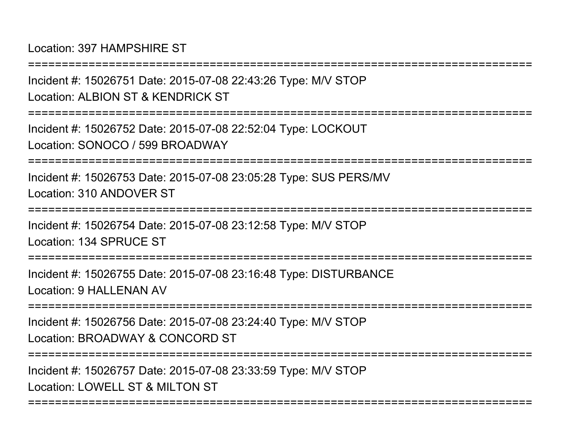Location: 397 HAMPSHIRE ST

Incident #: 15026751 Date: 2015-07-08 22:43:26 Type: M/V STOPLocation: ALBION ST & KENDRICK ST

===========================================================================

===========================================================================

Incident #: 15026752 Date: 2015-07-08 22:52:04 Type: LOCKOUTLocation: SONOCO / 599 BROADWAY

===========================================================================

Incident #: 15026753 Date: 2015-07-08 23:05:28 Type: SUS PERS/MVLocation: 310 ANDOVER ST

===========================================================================

Incident #: 15026754 Date: 2015-07-08 23:12:58 Type: M/V STOPLocation: 134 SPRUCE ST

===========================================================================

Incident #: 15026755 Date: 2015-07-08 23:16:48 Type: DISTURBANCELocation: 9 HALLENAN AV

===========================================================================

Incident #: 15026756 Date: 2015-07-08 23:24:40 Type: M/V STOPLocation: BROADWAY & CONCORD ST

===========================================================================

===========================================================================

Incident #: 15026757 Date: 2015-07-08 23:33:59 Type: M/V STOPLocation: LOWELL ST & MILTON ST